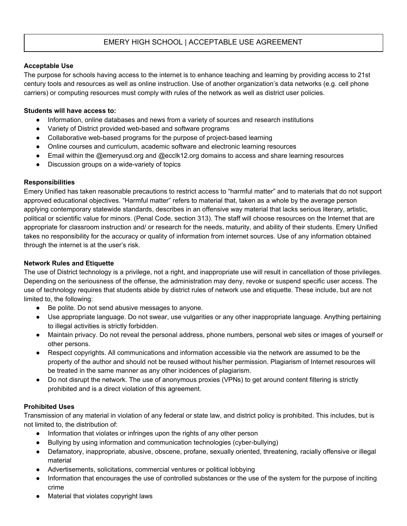# EMERY HIGH SCHOOL | ACCEPTABLE USE AGREEMENT

## **Acceptable Use**

The purpose for schools having access to the internet is to enhance teaching and learning by providing access to 21st century tools and resources as well as online instruction. Use of another organization's data networks (e.g. cell phone carriers) or computing resources must comply with rules of the network as well as district user policies.

### **Students will have access to:**

- Information, online databases and news from a variety of sources and research institutions
- Variety of District provided web-based and software programs
- Collaborative web-based programs for the purpose of project-based learning
- Online courses and curriculum, academic software and electronic learning resources
- Email within the @emeryusd.org and @ecclk12.org domains to access and share learning resources
- Discussion groups on a wide-variety of topics

### **Responsibilities**

Emery Unified has taken reasonable precautions to restrict access to "harmful matter" and to materials that do not support approved educational objectives. "Harmful matter" refers to material that, taken as a whole by the average person applying contemporary statewide standards, describes in an offensive way material that lacks serious literary, artistic, political or scientific value for minors. (Penal Code, section 313). The staff will choose resources on the Internet that are appropriate for classroom instruction and/ or research for the needs, maturity, and ability of their students. Emery Unified takes no responsibility for the accuracy or quality of information from internet sources. Use of any information obtained through the internet is at the user's risk.

### **Network Rules and Etiquette**

The use of District technology is a privilege, not a right, and inappropriate use will result in cancellation of those privileges. Depending on the seriousness of the offense, the administration may deny, revoke or suspend specific user access. The use of technology requires that students abide by district rules of network use and etiquette. These include, but are not limited to, the following:

- Be polite. Do not send abusive messages to anyone.
- Use appropriate language. Do not swear, use vulgarities or any other inappropriate language. Anything pertaining to illegal activities is strictly forbidden.
- Maintain privacy. Do not reveal the personal address, phone numbers, personal web sites or images of yourself or other persons.
- Respect copyrights. All communications and information accessible via the network are assumed to be the property of the author and should not be reused without his/her permission. Plagiarism of Internet resources will be treated in the same manner as any other incidences of plagiarism.
- Do not disrupt the network. The use of anonymous proxies (VPNs) to get around content filtering is strictly prohibited and is a direct violation of this agreement.

### **Prohibited Uses**

Transmission of any material in violation of any federal or state law, and district policy is prohibited. This includes, but is not limited to, the distribution of:

- Information that violates or infringes upon the rights of any other person
- Bullying by using information and communication technologies (cyber-bullying)
- Defamatory, inappropriate, abusive, obscene, profane, sexually oriented, threatening, racially offensive or illegal material
- Advertisements, solicitations, commercial ventures or political lobbying
- Information that encourages the use of controlled substances or the use of the system for the purpose of inciting crime
- Material that violates copyright laws